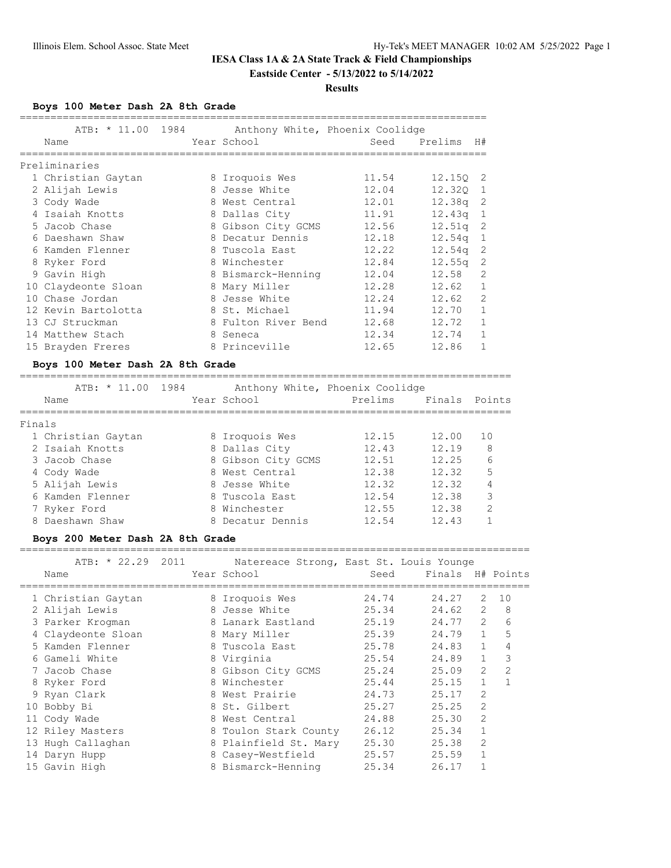## **IESA Class 1A & 2A State Track & Field Championships Eastside Center - 5/13/2022 to 5/14/2022**

#### **Results**

**Boys 100 Meter Dash 2A 8th Grade**

|   | ATB: * 11.00 1984   | Anthony White, Phoenix Coolidge |       |                    |              |
|---|---------------------|---------------------------------|-------|--------------------|--------------|
|   | Name                | Year School                     | Seed  | Prelims H#         |              |
|   | Preliminaries       |                                 |       |                    |              |
|   | 1 Christian Gaytan  | 8 Iroquois Wes                  | 11.54 | 12.150 2           |              |
|   | 2 Alijah Lewis      | 8 Jesse White                   | 12.04 | 12.320             | $\mathbf{1}$ |
|   | 3 Cody Wade         | 8 West Central                  | 12.01 | 12.38a             | -2           |
|   | 4 Isaiah Knotts     | 8 Dallas City                   | 11.91 | 12.43a             | 1            |
|   |                     |                                 |       |                    |              |
|   | 5 Jacob Chase       | 8 Gibson City GCMS              | 12.56 | 12.51q             | -2           |
| 6 | Daeshawn Shaw       | 8 Decatur Dennis                | 12.18 | 12.54 <sub>q</sub> | 1            |
|   | Kamden Flenner      | 8 Tuscola East                  | 12.22 | 12.54q             | 2            |
|   | 8 Ryker Ford        | 8 Winchester                    | 12.84 | 12.55 <sub>q</sub> | 2            |
|   | 9 Gavin High        | 8 Bismarck-Henning              | 12.04 | 12.58              | 2            |
|   | 10 Claydeonte Sloan | 8 Mary Miller                   | 12.28 | 12.62              | 1            |
|   | 10 Chase Jordan     | 8 Jesse White                   | 12.24 | 12.62              | 2            |
|   | 12 Kevin Bartolotta | 8 St. Michael                   | 11.94 | 12.70              | 1            |
|   | 13 CJ Struckman     | 8 Fulton River Bend             | 12.68 | 12.72              | 1            |
|   | 14 Matthew Stach    | 8 Seneca                        | 12.34 | 12.74              | 1            |
|   | 15 Brayden Freres   | 8 Princeville                   | 12.65 | 12.86              |              |

#### **Boys 100 Meter Dash 2A 8th Grade**

================================================================================

|        | ATB: * 11.00       | 1984 |                    | Anthony White, Phoenix Coolidge |       |                |
|--------|--------------------|------|--------------------|---------------------------------|-------|----------------|
|        | Name               |      | Year School        | Prelims                         |       | Finals Points  |
|        |                    |      |                    |                                 |       |                |
| Finals |                    |      |                    |                                 |       |                |
|        | 1 Christian Gaytan |      | 8 Iroquois Wes     | 12.15                           | 12.00 | 10             |
|        | 2 Isaiah Knotts    |      | 8 Dallas City      | 12.43                           | 12.19 | 8              |
|        | 3 Jacob Chase      |      | 8 Gibson City GCMS | 12.51                           | 12.25 | 6              |
|        | 4 Cody Wade        |      | 8 West Central     | 12.38                           | 12.32 | 5              |
|        | 5 Alijah Lewis     |      | 8 Jesse White      | 12.32                           | 12.32 | 4              |
|        | 6 Kamden Flenner   |      | 8 Tuscola East     | 12.54                           | 12.38 | 3              |
|        | 7 Ryker Ford       |      | 8 Winchester       | 12.55                           | 12.38 | $\mathfrak{D}$ |
|        | 8 Daeshawn Shaw    |      | 8 Decatur Dennis   | 12.54                           | 12.43 |                |

#### **Boys 200 Meter Dash 2A 8th Grade**

===================================================================================

| $ATB: * 22.29$     | 2011 | Natereace Strong, East St. Louis Younge |       |                  |                |    |
|--------------------|------|-----------------------------------------|-------|------------------|----------------|----|
| Name               |      | Year School                             | Seed  | Finals H# Points |                |    |
| 1 Christian Gaytan |      | 8 Iroquois Wes                          | 24.74 | 24.27            | 2              | 10 |
| 2 Alijah Lewis     |      | 8 Jesse White                           | 25.34 | 24.62            | $\overline{2}$ | 8  |
| 3 Parker Krogman   |      | 8 Lanark Eastland                       | 25.19 | 24.77            | $\overline{2}$ | 6  |
| 4 Claydeonte Sloan |      | 8 Mary Miller                           | 25.39 | 24.79            | $\mathbf{1}$   | 5  |
| 5 Kamden Flenner   |      | 8 Tuscola East                          | 25.78 | 24.83            | $\mathbf{1}$   | 4  |
| 6 Gameli White     |      | 8 Virginia                              | 25.54 | 24.89            | $\mathbf{1}$   | 3  |
| 7 Jacob Chase      |      | 8 Gibson City GCMS                      | 25.24 | 25.09            | $\overline{2}$ | 2  |
| 8 Ryker Ford       |      | 8 Winchester                            | 25.44 | 25.15            | $\mathbf{1}$   | 1  |
| 9 Ryan Clark       |      | 8 West Prairie                          | 24.73 | 25.17            | $\overline{2}$ |    |
| 10 Bobby Bi        |      | 8 St. Gilbert                           | 25.27 | 25.25            | $\mathfrak{D}$ |    |
| 11 Cody Wade       | 8    | West Central                            | 24.88 | 25.30            | 2              |    |
| 12 Riley Masters   |      | 8 Toulon Stark County                   | 26.12 | 25.34            |                |    |
| 13 Hugh Callaghan  |      | 8 Plainfield St. Mary                   | 25.30 | 25.38            | $\overline{2}$ |    |
| 14 Daryn Hupp      |      | 8 Casey-Westfield                       | 25.57 | 25.59            | $\mathbf{1}$   |    |
| 15 Gavin High      |      | 8 Bismarck-Henning                      | 25.34 | 26.17            |                |    |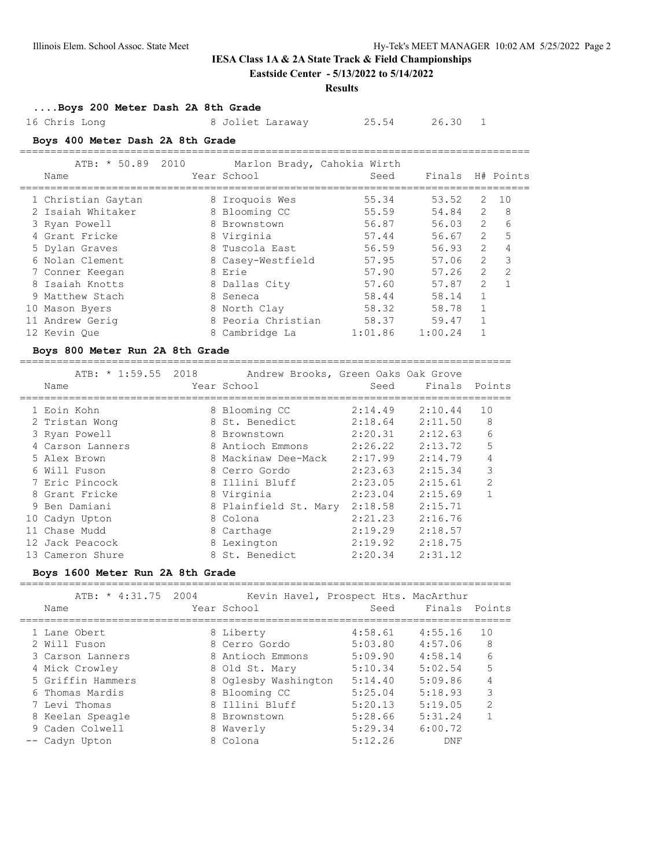**Eastside Center - 5/13/2022 to 5/14/2022**

#### **Results**

### **....Boys 200 Meter Dash 2A 8th Grade**

16 Chris Long 8 Joliet Laraway 25.54 26.30 1

## **Boys 400 Meter Dash 2A 8th Grade**

|  | ATB: * 50.89 2010<br>Name | Year School        | Marlon Brady, Cahokia Wirth<br>Seed | Finals  |                | H# Points     |
|--|---------------------------|--------------------|-------------------------------------|---------|----------------|---------------|
|  | 1 Christian Gaytan        | 8 Iroquois Wes     | 55.34                               | 53.52   | 2              | 1 O           |
|  | 2 Isaiah Whitaker         | 8 Blooming CC      | 55.59                               | 54.84   | 2              | 8             |
|  | 3 Ryan Powell             | 8 Brownstown       | 56.87                               | 56.03   | $\mathcal{L}$  | 6             |
|  | 4 Grant Fricke            | 8 Virginia         | 57.44                               | 56.67   | $\overline{2}$ | 5             |
|  | 5 Dylan Graves            | 8 Tuscola East     | 56.59                               | 56.93   | $\overline{2}$ | 4             |
|  | 6 Nolan Clement           | 8 Casey-Westfield  | 57.95                               | 57.06   | $\overline{2}$ | 3             |
|  | 7 Conner Keegan           | 8 Erie             | 57.90                               | 57.26   | $\mathcal{L}$  | $\mathcal{L}$ |
|  | 8 Isaiah Knotts           | 8 Dallas City      | 57.60                               | 57.87   | $\overline{2}$ |               |
|  | 9 Matthew Stach           | 8 Seneca           | 58.44                               | 58.14   | $\mathbf{1}$   |               |
|  | 10 Mason Byers            | 8 North Clay       | 58.32                               | 58.78   | 1              |               |
|  | 11 Andrew Gerig           | 8 Peoria Christian | 58.37                               | 59.47   |                |               |
|  | 12 Kevin Oue              | 8 Cambridge La     | 1:01.86                             | 1:00.24 |                |               |
|  |                           |                    |                                     |         |                |               |

### **Boys 800 Meter Run 2A 8th Grade**

================================================================================

| ATB: * 1:59.55 2018 | Andrew Brooks, Green Oaks Oak Grove |         |               |                |
|---------------------|-------------------------------------|---------|---------------|----------------|
| Name                | Year School                         | Seed    | Finals Points |                |
| 1 Eoin Kohn         | 8 Blooming CC                       | 2:14.49 | 2:10.44       | 10             |
| 2 Tristan Wong      | 8 St. Benedict                      | 2:18.64 | 2:11.50       | 8              |
| 3 Ryan Powell       | 8 Brownstown                        | 2:20.31 | 2:12.63       | 6              |
| 4 Carson Lanners    | 8 Antioch Emmons                    | 2:26.22 | 2:13.72       | 5              |
| 5 Alex Brown        | 8 Mackinaw Dee-Mack                 | 2:17.99 | 2:14.79       | 4              |
| 6 Will Fuson        | 8 Cerro Gordo                       | 2:23.63 | 2:15.34       | 3              |
| 7 Eric Pincock      | 8 Illini Bluff                      | 2:23.05 | 2:15.61       | $\overline{2}$ |
| 8 Grant Fricke      | 8 Virginia                          | 2:23.04 | 2:15.69       | 1              |
| 9 Ben Damiani       | 8 Plainfield St. Mary               | 2:18.58 | 2:15.71       |                |
| 10 Cadyn Upton      | 8 Colona                            | 2:21.23 | 2:16.76       |                |
| 11 Chase Mudd       | 8 Carthage                          | 2:19.29 | 2:18.57       |                |
| 12 Jack Peacock     | 8 Lexington                         | 2:19.92 | 2:18.75       |                |
| 13 Cameron Shure    | 8 St. Benedict                      | 2:20.34 | 2:31.12       |                |

#### **Boys 1600 Meter Run 2A 8th Grade**

================================================================================

|  | ATB: * 4:31.75 2004<br>Name | Year School          | Kevin Havel, Prospect Hts. MacArthur<br>Seed | Finals Points |                |
|--|-----------------------------|----------------------|----------------------------------------------|---------------|----------------|
|  | 1 Lane Obert                | 8 Liberty            | 4:58.61                                      | 4:55.16       | 10             |
|  | 2 Will Fuson                | 8 Cerro Gordo        | 5:03.80                                      | 4:57.06       | 8              |
|  | 3 Carson Lanners            | 8 Antioch Emmons     | 5:09.90                                      | 4:58.14       | 6              |
|  | 4 Mick Crowley              | 8 Old St. Mary       | 5:10.34                                      | 5:02.54       | 5              |
|  | 5 Griffin Hammers           | 8 Oglesby Washington | 5:14.40                                      | 5:09.86       | 4              |
|  | 6 Thomas Mardis             | 8 Blooming CC        | 5:25.04                                      | 5:18.93       | 3              |
|  | 7 Levi Thomas               | 8 Illini Bluff       | 5:20.13                                      | 5:19.05       | $\overline{2}$ |
|  | 8 Keelan Speagle            | 8 Brownstown         | 5:28.66                                      | 5:31.24       |                |
|  | 9 Caden Colwell             | 8 Waverly            | 5:29.34                                      | 6:00.72       |                |
|  | -- Cadyn Upton              | 8 Colona             | 5:12.26                                      | DNF           |                |
|  |                             |                      |                                              |               |                |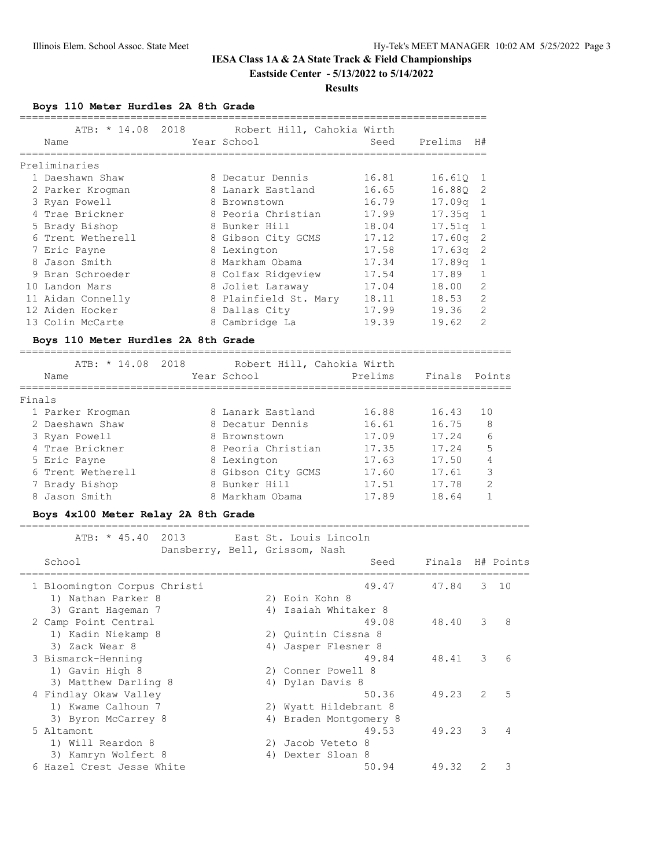## **IESA Class 1A & 2A State Track & Field Championships Eastside Center - 5/13/2022 to 5/14/2022**

#### **Results**

**Boys 110 Meter Hurdles 2A 8th Grade**

|        | ATB: * 14.08                        | 2018 |                    | Robert Hill, Cahokia Wirth     |                                   |                  |                |                |
|--------|-------------------------------------|------|--------------------|--------------------------------|-----------------------------------|------------------|----------------|----------------|
|        | Name                                |      | Year School        |                                | Seed                              | Prelims          | H#             |                |
|        | Preliminaries                       |      |                    |                                | -------------------------------   |                  |                |                |
|        | 1 Daeshawn Shaw                     |      | 8 Decatur Dennis   |                                | 16.81                             | 16.61Q           | 1              |                |
|        | 2 Parker Krogman                    |      | 8 Lanark Eastland  |                                | 16.65                             | 16.88Q           | 2              |                |
|        | 3 Ryan Powell                       |      | 8 Brownstown       |                                | 16.79                             | 17.09q           | 1              |                |
|        | 4 Trae Brickner                     |      | 8 Peoria Christian |                                | 17.99                             | 17.35q           | 1              |                |
|        | 5 Brady Bishop                      |      | 8 Bunker Hill      |                                | 18.04                             | 17.51q           | $\mathbf 1$    |                |
|        | 6 Trent Wetherell                   |      | 8 Gibson City GCMS |                                | 17.12                             | 17.60q           | 2              |                |
|        | 7 Eric Payne                        |      | 8 Lexington        |                                | 17.58                             | 17.63q           | 2              |                |
|        | 8 Jason Smith                       |      | 8 Markham Obama    |                                | 17.34                             | 17.89q           | 1              |                |
|        | 9 Bran Schroeder                    |      | 8 Colfax Ridgeview |                                | 17.54                             | 17.89            | 1              |                |
|        | 10 Landon Mars                      |      | 8 Joliet Laraway   |                                | 17.04                             | 18.00            | 2              |                |
|        | 11 Aidan Connelly                   |      |                    | 8 Plainfield St. Mary          | 18.11                             | 18.53            | $\overline{2}$ |                |
|        | 12 Aiden Hocker                     |      | 8 Dallas City      |                                | 17.99                             | 19.36            | 2              |                |
|        | 13 Colin McCarte                    |      | 8 Cambridge La     |                                | 19.39                             | 19.62            | 2              |                |
|        | Boys 110 Meter Hurdles 2A 8th Grade |      |                    |                                |                                   |                  |                |                |
|        | ATB: * 14.08                        | 2018 |                    | Robert Hill, Cahokia Wirth     |                                   |                  |                |                |
|        | Name                                |      | Year School        |                                | Prelims                           | Finals           |                | Points         |
|        |                                     |      |                    |                                | ================================= |                  |                |                |
| Finals |                                     |      |                    |                                |                                   |                  |                |                |
|        | 1 Parker Krogman                    |      | 8 Lanark Eastland  |                                | 16.88                             | 16.43            | 10             |                |
|        | 2 Daeshawn Shaw                     |      | 8 Decatur Dennis   |                                | 16.61                             | 16.75            |                | 8              |
|        | 3 Ryan Powell                       |      | 8 Brownstown       |                                | 17.09                             | 17.24            |                | 6              |
|        | 4 Trae Brickner                     |      | 8 Peoria Christian |                                | 17.35                             | 17.24            |                | 5              |
|        | 5 Eric Payne                        |      | 8 Lexington        |                                | 17.63                             | 17.50            |                | 4              |
|        | 6 Trent Wetherell                   |      | 8 Gibson City GCMS |                                | 17.60                             | 17.61            |                | 3              |
|        | 7 Brady Bishop                      |      | 8 Bunker Hill      |                                | 17.51                             | 17.78            |                | $\overline{2}$ |
|        | 8 Jason Smith                       |      | 8 Markham Obama    |                                | 17.89                             | 18.64            |                | $\mathbf{1}$   |
|        | Boys 4x100 Meter Relay 2A 8th Grade |      |                    |                                |                                   |                  |                |                |
|        | ATB: * 45.40                        | 2013 |                    | East St. Louis Lincoln         |                                   |                  |                |                |
|        |                                     |      |                    | Dansberry, Bell, Grissom, Nash |                                   |                  |                |                |
|        | School                              |      |                    |                                | Seed                              | Finals H# Points |                |                |
|        |                                     |      |                    |                                |                                   |                  |                |                |
|        | 1 Bloomington Corpus Christi        |      |                    |                                | 49.47                             | 47.84            | 3              | 10             |
|        | 1) Nathan Parker 8                  |      |                    | 2) Eoin Kohn 8                 |                                   |                  |                |                |
|        | 3) Grant Hageman 7                  |      |                    | 4) Isaiah Whitaker 8           |                                   |                  |                |                |
|        | 2 Camp Point Central                |      |                    |                                | 49.08                             | 48.40            | 3              | 8              |
|        | 1) Kadin Niekamp 8                  |      |                    | 2) Quintin Cissna 8            |                                   |                  |                |                |
|        | 3) Zack Wear 8                      |      |                    | 4) Jasper Flesner 8            |                                   |                  |                |                |
|        | 3 Bismarck-Henning                  |      |                    |                                | 49.84                             | 48.41            | 3              | 6              |
|        | 1) Gavin High 8                     |      |                    | 2) Conner Powell 8             |                                   |                  |                |                |
|        | 3) Matthew Darling 8                |      |                    | 4) Dylan Davis 8               |                                   |                  |                |                |
|        | 4 Findlay Okaw Valley               |      |                    |                                | 50.36                             | 49.23            | 2              | 5              |
|        | 1) Kwame Calhoun 7                  |      |                    | 2) Wyatt Hildebrant 8          |                                   |                  |                |                |
|        | 3) Byron McCarrey 8                 |      |                    | 4) Braden Montgomery 8         |                                   |                  |                |                |
|        | 5 Altamont                          |      |                    |                                | 49.53                             | 49.23            | 3              | 4              |
|        | 1) Will Reardon 8                   |      |                    | 2) Jacob Veteto 8              |                                   |                  |                |                |
|        | 3) Kamryn Wolfert 8                 |      |                    | 4) Dexter Sloan 8              |                                   |                  |                |                |
|        | 6 Hazel Crest Jesse White           |      |                    |                                | 50.94                             | 49.32            | $\overline{c}$ | 3              |

============================================================================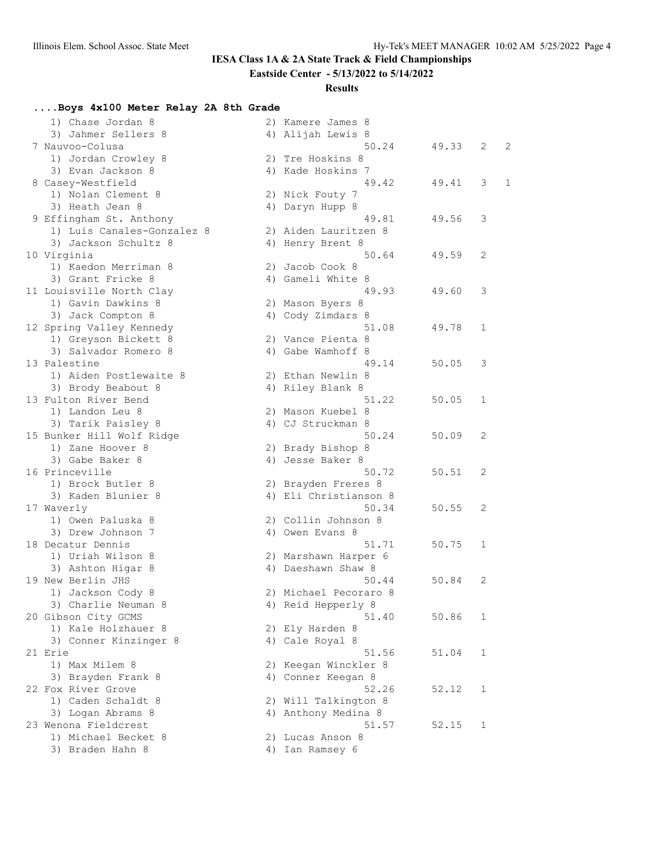**Eastside Center - 5/13/2022 to 5/14/2022**

### **Results**

## **....Boys 4x100 Meter Relay 2A 8th Grade**

| 1) Chase Jordan 8          | 2) Kamere James 8     |       |              |   |
|----------------------------|-----------------------|-------|--------------|---|
| 3) Jahmer Sellers 8        | 4) Alijah Lewis 8     |       |              |   |
| 7 Nauvoo-Colusa            | 50.24                 | 49.33 | 2            | 2 |
| 1) Jordan Crowley 8        | 2) Tre Hoskins 8      |       |              |   |
| 3) Evan Jackson 8          | 4) Kade Hoskins 7     |       |              |   |
| 8 Casey-Westfield          | 49.42                 | 49.41 | 3            | 1 |
| 1) Nolan Clement 8         | 2) Nick Fouty 7       |       |              |   |
| 3) Heath Jean 8            | 4) Daryn Hupp 8       |       |              |   |
| 9 Effingham St. Anthony    | 49.81                 | 49.56 | 3            |   |
| 1) Luis Canales-Gonzalez 8 | 2) Aiden Lauritzen 8  |       |              |   |
| 3) Jackson Schultz 8       | 4) Henry Brent 8      |       |              |   |
| 10 Virginia                | 50.64                 | 49.59 | 2            |   |
| 1) Kaedon Merriman 8       | 2) Jacob Cook 8       |       |              |   |
| 3) Grant Fricke 8          | 4) Gameli White 8     |       |              |   |
| 11 Louisville North Clay   | 49.93                 | 49.60 | 3            |   |
| 1) Gavin Dawkins 8         | 2) Mason Byers 8      |       |              |   |
| 3) Jack Compton 8          | 4) Cody Zimdars 8     |       |              |   |
| 12 Spring Valley Kennedy   | 51.08                 | 49.78 | $\mathbf{1}$ |   |
| 1) Greyson Bickett 8       | 2) Vance Pienta 8     |       |              |   |
| 3) Salvador Romero 8       | 4) Gabe Wamhoff 8     |       |              |   |
| 13 Palestine               | 49.14                 | 50.05 | 3            |   |
| 1) Aiden Postlewaite 8     | 2) Ethan Newlin 8     |       |              |   |
| 3) Brody Beabout 8         | 4) Riley Blank 8      |       |              |   |
| 13 Fulton River Bend       | 51.22                 | 50.05 | 1            |   |
| 1) Landon Leu 8            | 2) Mason Kuebel 8     |       |              |   |
| 3) Tarik Paisley 8         | 4) CJ Struckman 8     |       |              |   |
| 15 Bunker Hill Wolf Ridge  | 50.24                 | 50.09 | 2            |   |
| 1) Zane Hoover 8           | 2) Brady Bishop 8     |       |              |   |
| 3) Gabe Baker 8            | 4) Jesse Baker 8      |       |              |   |
| 16 Princeville             | 50.72                 | 50.51 | 2            |   |
| 1) Brock Butler 8          | 2) Brayden Freres 8   |       |              |   |
| 3) Kaden Blunier 8         | 4) Eli Christianson 8 |       |              |   |
| 17 Waverly                 | 50.34                 | 50.55 | 2            |   |
| 1) Owen Paluska 8          | 2) Collin Johnson 8   |       |              |   |
| 3) Drew Johnson 7          | 4) Owen Evans 8       |       |              |   |
| 18 Decatur Dennis          | 51.71                 | 50.75 | 1            |   |
| 1) Uriah Wilson 8          | 2) Marshawn Harper 6  |       |              |   |
| 3) Ashton Higar 8          | 4) Daeshawn Shaw 8    |       |              |   |
| 19 New Berlin JHS          | 50.44                 | 50.84 | 2            |   |
| 1) Jackson Cody 8          | 2) Michael Pecoraro 8 |       |              |   |
| 3) Charlie Neuman 8        | 4) Reid Hepperly 8    |       |              |   |
| 20 Gibson City GCMS        | 51.40                 | 50.86 | 1            |   |
| 1) Kale Holzhauer 8        | 2) Ely Harden 8       |       |              |   |
| 3) Conner Kinzinger 8      | 4) Cale Royal 8       |       |              |   |
| 21 Erie                    | 51.56                 | 51.04 | 1            |   |
| 1) Max Milem 8             | 2) Keegan Winckler 8  |       |              |   |
| 3) Brayden Frank 8         | 4) Conner Keegan 8    |       |              |   |
| 22 Fox River Grove         | 52.26                 | 52.12 | 1            |   |
| 1) Caden Schaldt 8         | 2) Will Talkington 8  |       |              |   |
| 3) Logan Abrams 8          | 4) Anthony Medina 8   |       |              |   |
| 23 Wenona Fieldcrest       | 51.57                 | 52.15 | 1            |   |
| 1) Michael Becket 8        | 2) Lucas Anson 8      |       |              |   |
| 3) Braden Hahn 8           | 4) Ian Ramsey 6       |       |              |   |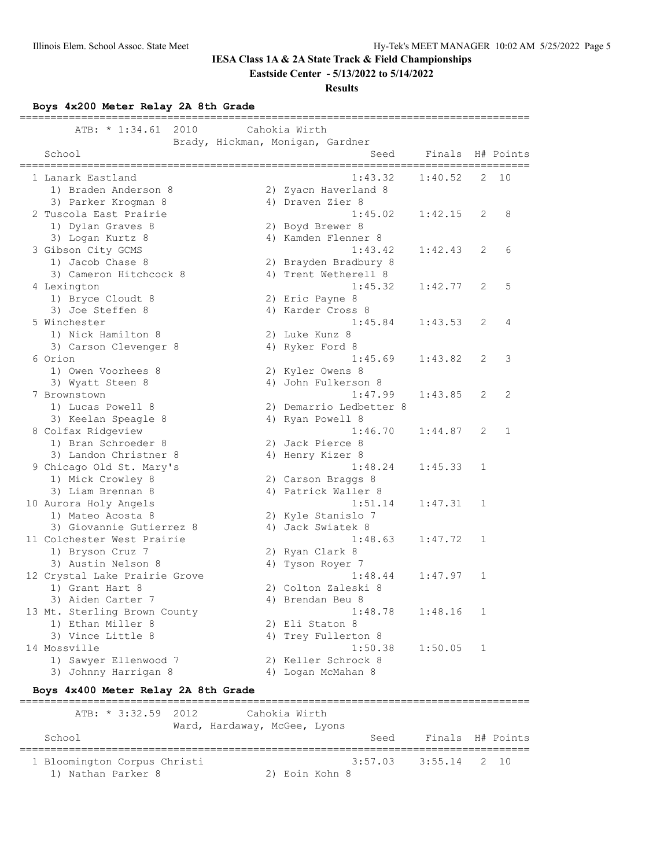**Eastside Center - 5/13/2022 to 5/14/2022**

### **Results**

**Boys 4x200 Meter Relay 2A 8th Grade**

| ============<br>2010<br>ATB: * 1:34.61                    |                              | Cahokia Wirth                            |         |              |           |
|-----------------------------------------------------------|------------------------------|------------------------------------------|---------|--------------|-----------|
| School                                                    |                              | Brady, Hickman, Monigan, Gardner<br>Seed | Finals  |              | H# Points |
| ____________________________________<br>1 Lanark Eastland |                              | 1:43.32                                  | 1:40.52 | 2            | 10        |
| 1) Braden Anderson 8                                      |                              | 2) Zyacn Haverland 8                     |         |              |           |
| 3) Parker Krogman 8                                       |                              | 4) Draven Zier 8                         |         |              |           |
| 2 Tuscola East Prairie                                    |                              | 1:45.02                                  | 1:42.15 | 2            | 8         |
| 1) Dylan Graves 8                                         |                              | 2) Boyd Brewer 8                         |         |              |           |
| 3) Logan Kurtz 8                                          |                              | 4) Kamden Flenner 8                      |         |              |           |
| 3 Gibson City GCMS                                        |                              | 1:43.42                                  | 1:42.43 | 2            | 6         |
| 1) Jacob Chase 8                                          |                              | 2) Brayden Bradbury 8                    |         |              |           |
| 3) Cameron Hitchcock 8                                    |                              | 4) Trent Wetherell 8                     |         |              | 5         |
| 4 Lexington                                               |                              | 1:45.32                                  | 1:42.77 | 2            |           |
| 1) Bryce Cloudt 8<br>3) Joe Steffen 8                     |                              | 2) Eric Payne 8<br>4) Karder Cross 8     |         |              |           |
| 5 Winchester                                              |                              | 1:45.84                                  | 1:43.53 | 2            | 4         |
| 1) Nick Hamilton 8                                        |                              | 2) Luke Kunz 8                           |         |              |           |
| 3) Carson Clevenger 8                                     |                              | 4) Ryker Ford 8                          |         |              |           |
| 6 Orion                                                   |                              | 1:45.69                                  | 1:43.82 | 2            | 3         |
| 1) Owen Voorhees 8                                        |                              | 2) Kyler Owens 8                         |         |              |           |
| 3) Wyatt Steen 8                                          |                              | 4) John Fulkerson 8                      |         |              |           |
| 7 Brownstown                                              |                              | 1:47.99                                  | 1:43.85 | 2            | 2         |
| 1) Lucas Powell 8                                         |                              | 2) Demarrio Ledbetter 8                  |         |              |           |
| 3) Keelan Speagle 8                                       |                              | 4) Ryan Powell 8                         |         |              |           |
| 8 Colfax Ridgeview                                        |                              | 1:46.70                                  | 1:44.87 | 2            | 1         |
| 1) Bran Schroeder 8                                       |                              | 2) Jack Pierce 8                         |         |              |           |
| 3) Landon Christner 8                                     |                              | 4) Henry Kizer 8                         |         |              |           |
| 9 Chicago Old St. Mary's                                  |                              | 1:48.24                                  | 1:45.33 | 1            |           |
| 1) Mick Crowley 8                                         |                              | 2) Carson Braggs 8                       |         |              |           |
| 3) Liam Brennan 8                                         |                              | 4) Patrick Waller 8                      |         |              |           |
| 10 Aurora Holy Angels                                     |                              | 1:51.14                                  | 1:47.31 | 1            |           |
| 1) Mateo Acosta 8                                         |                              | 2) Kyle Stanislo 7                       |         |              |           |
| 3) Giovannie Gutierrez 8                                  |                              | 4) Jack Swiatek 8                        |         |              |           |
| 11 Colchester West Prairie                                |                              | 1:48.63                                  | 1:47.72 | 1            |           |
| 1) Bryson Cruz 7                                          |                              | 2) Ryan Clark 8                          |         |              |           |
| 3) Austin Nelson 8                                        |                              | 4) Tyson Royer 7                         |         |              |           |
| 12 Crystal Lake Prairie Grove                             |                              | 1:48.44                                  | 1:47.97 | $\mathbf{1}$ |           |
| 1) Grant Hart 8                                           |                              | 2) Colton Zaleski 8                      |         |              |           |
| 3) Aiden Carter 7                                         |                              | 4) Brendan Beu 8<br>1:48.78              | 1:48.16 | 1            |           |
| 13 Mt. Sterling Brown County<br>1) Ethan Miller 8         |                              | 2) Eli Staton 8                          |         |              |           |
| 3) Vince Little 8                                         |                              | 4) Trey Fullerton 8                      |         |              |           |
| 14 Mossville                                              |                              | 1:50.38                                  | 1:50.05 | 1            |           |
| 1) Sawyer Ellenwood 7                                     |                              | 2) Keller Schrock 8                      |         |              |           |
| 3) Johnny Harrigan 8                                      |                              | 4) Logan McMahan 8                       |         |              |           |
| Boys 4x400 Meter Relay 2A 8th Grade                       |                              |                                          |         |              |           |
| ATB: * 3:32.59<br>2012                                    |                              | Cahokia Wirth                            |         |              |           |
|                                                           | Ward, Hardaway, McGee, Lyons |                                          |         |              |           |
| School                                                    |                              | Seed                                     | Finals  |              | H# Points |
| 1 Bloomington Corpus Christi                              |                              | 3:57.03                                  | 3:55.14 | 2.           | 10        |
| 1) Nathan Parker 8                                        |                              | 2) Eoin Kohn 8                           |         |              |           |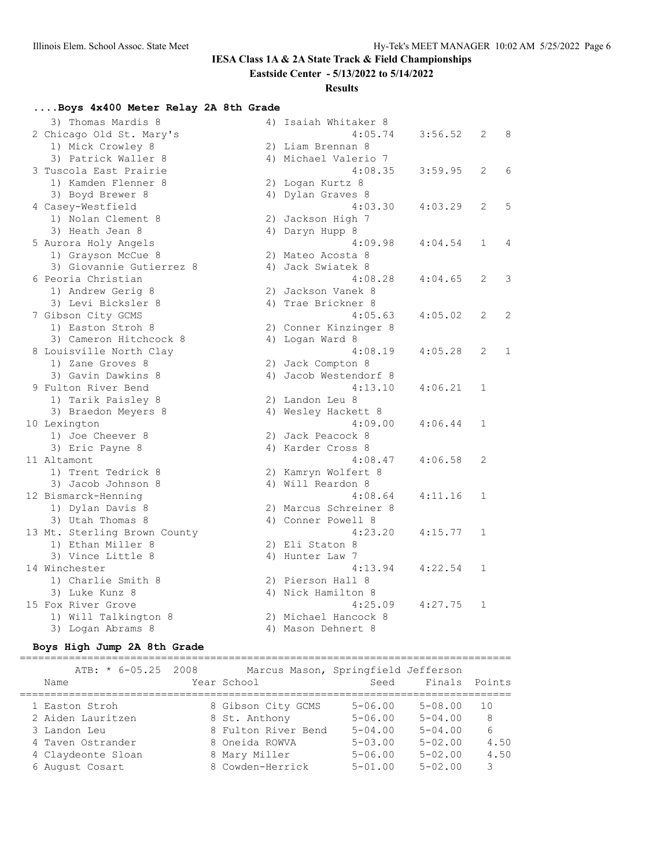**Eastside Center - 5/13/2022 to 5/14/2022**

### **Results**

## **....Boys 4x400 Meter Relay 2A 8th Grade**

| 3) Thomas Mardis 8           | 4) Isaiah Whitaker 8  |         |                |              |
|------------------------------|-----------------------|---------|----------------|--------------|
| 2 Chicago Old St. Mary's     | 4:05.74               | 3:56.52 | 2              | 8            |
| 1) Mick Crowley 8            | 2) Liam Brennan 8     |         |                |              |
| 3) Patrick Waller 8          | 4) Michael Valerio 7  |         |                |              |
| 3 Tuscola East Prairie       | 4:08.35               | 3:59.95 | 2              | 6            |
| 1) Kamden Flenner 8          | 2) Logan Kurtz 8      |         |                |              |
| 3) Boyd Brewer 8             | 4) Dylan Graves 8     |         |                |              |
| 4 Casey-Westfield            | 4:03.30               | 4:03.29 | $\overline{2}$ | 5            |
| 1) Nolan Clement 8           | 2) Jackson High 7     |         |                |              |
| 3) Heath Jean 8              | 4) Daryn Hupp 8       |         |                |              |
| 5 Aurora Holy Angels         | 4:09.98               | 4:04.54 | $\mathbf{1}$   | 4            |
| 1) Grayson McCue 8           | 2) Mateo Acosta 8     |         |                |              |
| 3) Giovannie Gutierrez 8     | 4) Jack Swiatek 8     |         |                |              |
| 6 Peoria Christian           | 4:08.28               | 4:04.65 | 2              | 3            |
| 1) Andrew Gerig 8            | 2) Jackson Vanek 8    |         |                |              |
| 3) Levi Bicksler 8           | 4) Trae Brickner 8    |         |                |              |
| 7 Gibson City GCMS           | 4:05.63               | 4:05.02 | $\overline{2}$ | 2            |
| 1) Easton Stroh 8            | 2) Conner Kinzinger 8 |         |                |              |
| 3) Cameron Hitchcock 8       | 4) Logan Ward 8       |         |                |              |
| 8 Louisville North Clay      | 4:08.19               | 4:05.28 | 2              | $\mathbf{1}$ |
| 1) Zane Groves 8             | 2) Jack Compton 8     |         |                |              |
| 3) Gavin Dawkins 8           | 4) Jacob Westendorf 8 |         |                |              |
| 9 Fulton River Bend          | 4:13.10               | 4:06.21 | 1              |              |
| 1) Tarik Paisley 8           | 2) Landon Leu 8       |         |                |              |
| 3) Braedon Meyers 8          | 4) Wesley Hackett 8   |         |                |              |
| 10 Lexington                 | 4:09.00               | 4:06.44 | $\mathbf{1}$   |              |
| 1) Joe Cheever 8             | 2) Jack Peacock 8     |         |                |              |
| 3) Eric Payne 8              | 4) Karder Cross 8     |         |                |              |
| 11 Altamont                  | 4:08.47               | 4:06.58 | 2              |              |
| 1) Trent Tedrick 8           | 2) Kamryn Wolfert 8   |         |                |              |
| 3) Jacob Johnson 8           | 4) Will Reardon 8     |         |                |              |
| 12 Bismarck-Henning          | 4:08.64               | 4:11.16 | $\mathbf 1$    |              |
| 1) Dylan Davis 8             | 2) Marcus Schreiner 8 |         |                |              |
| 3) Utah Thomas 8             | 4) Conner Powell 8    |         |                |              |
| 13 Mt. Sterling Brown County | 4:23.20               | 4:15.77 | $\mathbf 1$    |              |
| 1) Ethan Miller 8            | 2) Eli Staton 8       |         |                |              |
| 3) Vince Little 8            | 4) Hunter Law 7       |         |                |              |
| 14 Winchester                | 4:13.94               | 4:22.54 | $\mathbf{1}$   |              |
| 1) Charlie Smith 8           | 2) Pierson Hall 8     |         |                |              |
| 3) Luke Kunz 8               | 4) Nick Hamilton 8    |         |                |              |
| 15 Fox River Grove           | 4:25.09               | 4:27.75 | 1              |              |
| 1) Will Talkington 8         | 2) Michael Hancock 8  |         |                |              |
| 3) Logan Abrams 8            | 4) Mason Dehnert 8    |         |                |              |

## **Boys High Jump 2A 8th Grade**

| $ATB: * 6-05.25 2008$<br>Name | Marcus Mason, Springfield Jefferson<br>Year School | Seed           | Finals Points |      |
|-------------------------------|----------------------------------------------------|----------------|---------------|------|
| 1 Easton Stroh                | 8 Gibson City GCMS                                 | $5 - 06.00$    | $5 - 08.00$   | 1 O  |
| 2 Aiden Lauritzen             | 8 St. Anthony                                      | $5 - 06.00$    | $5 - 04.00$   | - 8  |
| 3 Landon Leu                  | 8 Fulton River Bend                                | $5 - 04.00$    | $5 - 04.00$   | 6    |
| 4 Taven Ostrander             | 8 Oneida ROWVA                                     | $5 - 0.3$ , 00 | $5 - 02.00$   | 4.50 |
| 4 Claydeonte Sloan            | 8 Mary Miller                                      | $5 - 06.00$    | $5 - 02.00$   | 4.50 |
| 6 August Cosart               | 8 Cowden-Herrick                                   | $5 - 01.00$    | $5 - 02.00$   | 3    |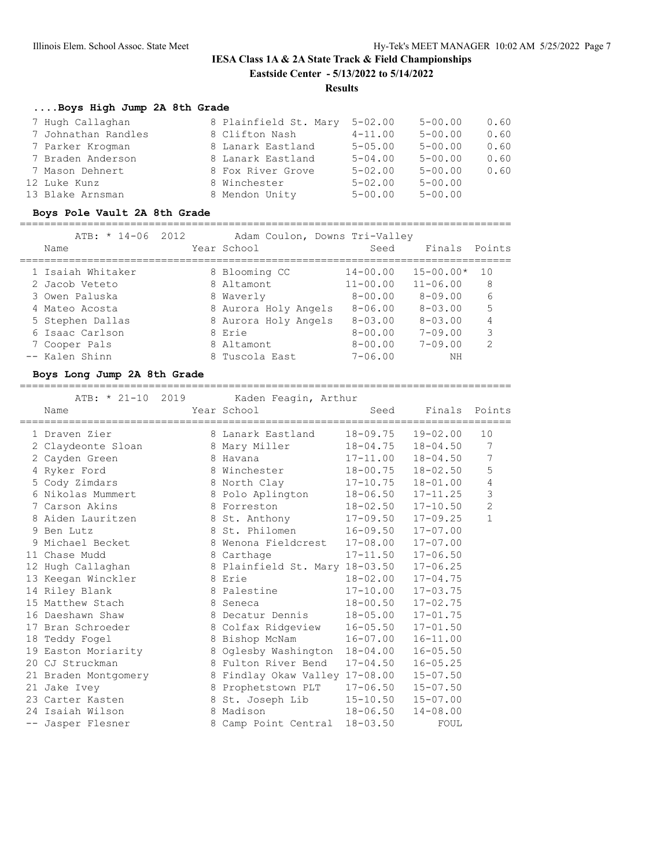## **IESA Class 1A & 2A State Track & Field Championships Eastside Center - 5/13/2022 to 5/14/2022 Results**

### **....Boys High Jump 2A 8th Grade**

| 7 Hugh Callaghan    | 8 Plainfield St. Mary | $5 - 02.00$ | $5 - 00.00$ | 0.60 |
|---------------------|-----------------------|-------------|-------------|------|
| 7 Johnathan Randles | 8 Clifton Nash        | $4 - 11.00$ | $5 - 00.00$ | 0.60 |
| 7 Parker Krogman    | 8 Lanark Eastland     | $5 - 05.00$ | $5 - 00.00$ | 0.60 |
| 7 Braden Anderson   | 8 Lanark Eastland     | $5 - 04.00$ | $5 - 00.00$ | 0.60 |
| 7 Mason Dehnert     | 8 Fox River Grove     | $5 - 02.00$ | $5 - 00.00$ | 0.60 |
| 12 Luke Kunz        | 8 Winchester          | $5 - 02.00$ | $5 - 00.00$ |      |
| 13 Blake Arnsman    | 8 Mendon Unity        | $5 - 00.00$ | $5 - 00.00$ |      |

### **Boys Pole Vault 2A 8th Grade**

================================================================================

| ATB: $* 14-06 2012$<br>Name | Adam Coulon, Downs Tri-Valley<br>Year School | Seed           | Finals Points  |                |
|-----------------------------|----------------------------------------------|----------------|----------------|----------------|
| 1 Isaiah Whitaker           | 8 Blooming CC                                | $14 - 00.00$   | $15 - 00.00*$  | 1 O            |
| 2 Jacob Veteto              | 8 Altamont                                   | $11 - 00.00$   | $11 - 06.00$   | 8              |
| 3 Owen Paluska              | 8 Waverly                                    | $8 - 00.00$    | $8 - 09.00$    | 6              |
| 4 Mateo Acosta              | 8 Aurora Holy Angels                         | $8 - 06.00$    | $8 - 0.3$ , 00 | 5              |
| 5 Stephen Dallas            | 8 Aurora Holy Angels                         | $8 - 0.3$ , 00 | $8 - 0.3$ , 00 | 4              |
| 6 Isaac Carlson             | 8 Erie                                       | $8 - 00.00$    | $7 - 09.00$    | 3              |
| 7 Cooper Pals               | 8 Altamont                                   | $8 - 00.00$    | $7 - 09.00$    | $\mathfrak{D}$ |
| -- Kalen Shinn              | 8 Tuscola East                               | $7 - 06.00$    | NΗ             |                |

#### **Boys Long Jump 2A 8th Grade**

================================================================================ ATB: \* 21-10 2019 Kaden Feagin, Arthur

| Name                 | zoro nddon't cagrif in char<br>Year School                                                                                                                                                                                     | Seed                      | Finals Points | ==========     |
|----------------------|--------------------------------------------------------------------------------------------------------------------------------------------------------------------------------------------------------------------------------|---------------------------|---------------|----------------|
| 1 Draven Zier        | 8 Lanark Eastland 18-09.75 19-02.00                                                                                                                                                                                            |                           |               | 10             |
| 2 Claydeonte Sloan   | 8 Mary Miller                                                                                                                                                                                                                  | 18-04.75                  | $18 - 04.50$  | 7              |
| 2 Cayden Green       | 8 Havana di Serikatan Serikatan Indonesia di S                                                                                                                                                                                 | $17 - 11.00$ $18 - 04.50$ |               | 7              |
| 4 Ryker Ford         | 8 Winchester                                                                                                                                                                                                                   | 18-00.75                  | 18-02.50      | 5              |
| 5 Cody Zimdars       | 8 North Clay 17-10.75                                                                                                                                                                                                          |                           | 18-01.00      | 4              |
| 6 Nikolas Mummert    | 8 Polo Aplington                                                                                                                                                                                                               | $18 - 06.50$ $17 - 11.25$ |               | 3              |
| 7 Carson Akins       | 8 Forreston                                                                                                                                                                                                                    | $18 - 02.50$              | $17 - 10.50$  | $\overline{c}$ |
| 8 Aiden Lauritzen    | 8 St. Anthony 17-09.50 17-09.25                                                                                                                                                                                                |                           |               | $\mathbf{1}$   |
| 9 Ben Lutz           | 8 St. Philomen 16-09.50 17-07.00                                                                                                                                                                                               |                           |               |                |
| 9 Michael Becket     | 8 Wenona Fieldcrest 17-08.00                                                                                                                                                                                                   |                           | $17 - 07.00$  |                |
| 11 Chase Mudd        | 8 Carthage 17-11.50 17-06.50                                                                                                                                                                                                   |                           |               |                |
| 12 Hugh Callaghan    | 8 Plainfield St. Mary 18-03.50 17-06.25                                                                                                                                                                                        |                           |               |                |
| 13 Keegan Winckler   | 8 Erie                                                                                                                                                                                                                         | $18 - 02.00$              | $17 - 04.75$  |                |
| 14 Riley Blank       | 8 Palestine 17-10.00 17-03.75                                                                                                                                                                                                  |                           |               |                |
| 15 Matthew Stach     | 8 Seneca and the Seneca and the Seneca and the Seneca and the Seneca and the Seneca and the Seneca and the Seneca and the Seneca and the Seneca and the Seneca and the Seneca and the Seneca and the Seneca and the Seneca and | $18 - 00.50$ $17 - 02.75$ |               |                |
| 16 Daeshawn Shaw     | 8 Decatur Dennis                                                                                                                                                                                                               | $18 - 05.00$ $17 - 01.75$ |               |                |
| 17 Bran Schroeder    | 8 Colfax Ridgeview                                                                                                                                                                                                             | $16 - 05.50$ $17 - 01.50$ |               |                |
| 18 Teddy Fogel       | 8 Bishop McNam 16-07.00                                                                                                                                                                                                        |                           | $16 - 11.00$  |                |
| 19 Easton Moriarity  | 8 Oglesby Washington 18-04.00                                                                                                                                                                                                  |                           | $16 - 05.50$  |                |
| 20 CJ Struckman      | 8 Fulton River Bend                                                                                                                                                                                                            | $17 - 04.50$              | $16 - 05.25$  |                |
| 21 Braden Montgomery | 8 Findlay Okaw Valley 17-08.00                                                                                                                                                                                                 |                           | $15 - 07.50$  |                |
| 21 Jake Ivey         | 8 Prophetstown PLT 17-06.50 15-07.50                                                                                                                                                                                           |                           |               |                |
| 23 Carter Kasten     | 8 St. Joseph Lib 15-10.50 15-07.00                                                                                                                                                                                             |                           |               |                |
| 24 Isaiah Wilson     | 8 Madison 18-06.50                                                                                                                                                                                                             |                           | $14 - 08.00$  |                |
| -- Jasper Flesner    | 8 Camp Point Central 18-03.50                                                                                                                                                                                                  |                           | FOUL          |                |